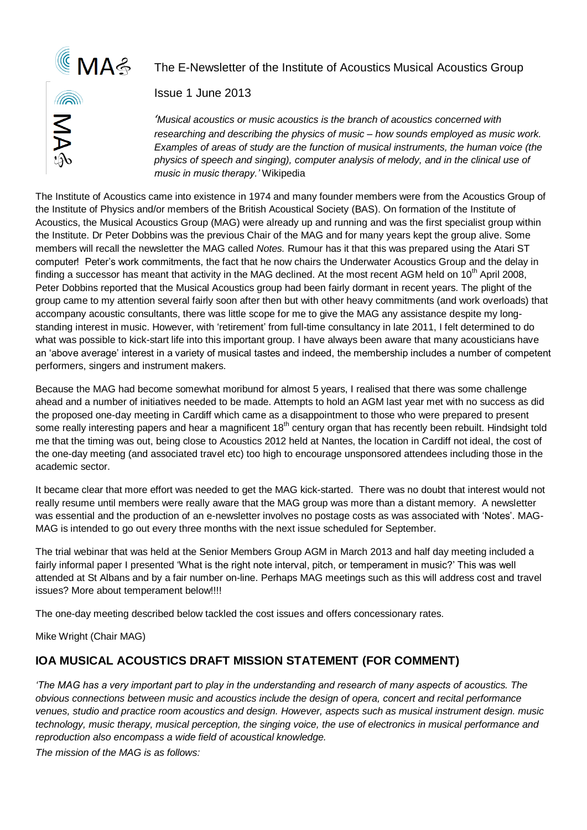

### The E-Newsletter of the Institute of Acoustics Musical Acoustics Group



Issue 1 June 2013

*'Musical acoustics or music acoustics is the branch of acoustics concerned with researching and describing the physics of music – how sounds employed as music work. Examples of areas of study are the function of musical instruments, the human voice (the physics of speech and singing), computer analysis of melody, and in the clinical use of music in music therapy.'* Wikipedia

The Institute of Acoustics came into existence in 1974 and many founder members were from the Acoustics Group of the Institute of Physics and/or members of the British Acoustical Society (BAS). On formation of the Institute of Acoustics, the Musical Acoustics Group (MAG) were already up and running and was the first specialist group within the Institute. Dr Peter Dobbins was the previous Chair of the MAG and for many years kept the group alive. Some members will recall the newsletter the MAG called *Notes.* Rumour has it that this was prepared using the Atari ST computer! Peter's work commitments, the fact that he now chairs the Underwater Acoustics Group and the delay in finding a successor has meant that activity in the MAG declined. At the most recent AGM held on  $10<sup>th</sup>$  April 2008, Peter Dobbins reported that the Musical Acoustics group had been fairly dormant in recent years. The plight of the group came to my attention several fairly soon after then but with other heavy commitments (and work overloads) that accompany acoustic consultants, there was little scope for me to give the MAG any assistance despite my longstanding interest in music. However, with 'retirement' from full-time consultancy in late 2011, I felt determined to do what was possible to kick-start life into this important group. I have always been aware that many acousticians have an 'above average' interest in a variety of musical tastes and indeed, the membership includes a number of competent performers, singers and instrument makers.

Because the MAG had become somewhat moribund for almost 5 years, I realised that there was some challenge ahead and a number of initiatives needed to be made. Attempts to hold an AGM last year met with no success as did the proposed one-day meeting in Cardiff which came as a disappointment to those who were prepared to present some really interesting papers and hear a magnificent 18<sup>th</sup> century organ that has recently been rebuilt. Hindsight told me that the timing was out, being close to Acoustics 2012 held at Nantes, the location in Cardiff not ideal, the cost of the one-day meeting (and associated travel etc) too high to encourage unsponsored attendees including those in the academic sector.

It became clear that more effort was needed to get the MAG kick-started. There was no doubt that interest would not really resume until members were really aware that the MAG group was more than a distant memory. A newsletter was essential and the production of an e-newsletter involves no postage costs as was associated with 'Notes'. MAG-MAG is intended to go out every three months with the next issue scheduled for September.

The trial webinar that was held at the Senior Members Group AGM in March 2013 and half day meeting included a fairly informal paper I presented 'What is the right note interval, pitch, or temperament in music?' This was well attended at St Albans and by a fair number on-line. Perhaps MAG meetings such as this will address cost and travel issues? More about temperament below!!!!

The one-day meeting described below tackled the cost issues and offers concessionary rates.

Mike Wright (Chair MAG)

### **IOA MUSICAL ACOUSTICS DRAFT MISSION STATEMENT (FOR COMMENT)**

*'The MAG has a very important part to play in the understanding and research of many aspects of acoustics. The obvious connections between music and acoustics include the design of opera, concert and recital performance venues, studio and practice room acoustics and design. However, aspects such as musical instrument design. music technology, music therapy, musical perception, the singing voice, the use of electronics in musical performance and reproduction also encompass a wide field of acoustical knowledge.* 

*The mission of the MAG is as follows:*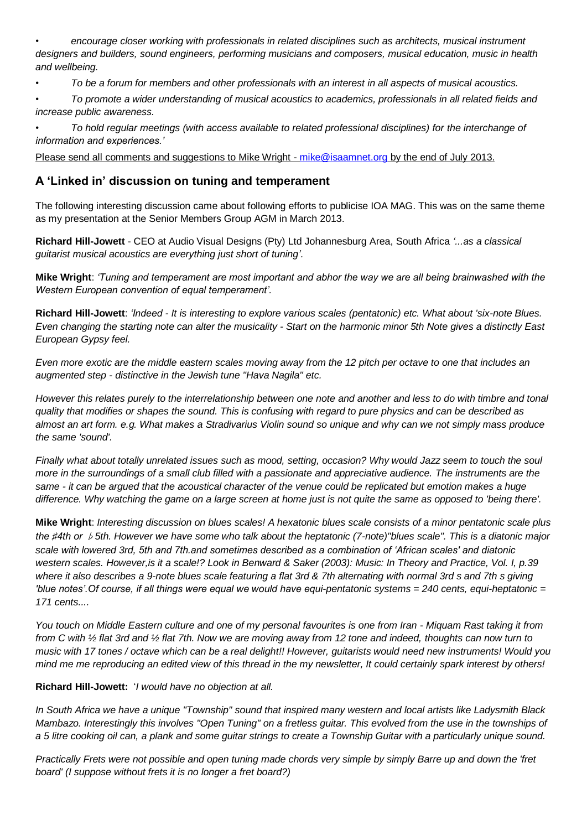*• encourage closer working with professionals in related disciplines such as architects, musical instrument designers and builders, sound engineers, performing musicians and composers, musical education, music in health and wellbeing.*

*• To be a forum for members and other professionals with an interest in all aspects of musical acoustics.*

*• To promote a wider understanding of musical acoustics to academics, professionals in all related fields and increase public awareness.*

*• To hold regular meetings (with access available to related professional disciplines) for the interchange of information and experiences.'*

Please send all comments and suggestions to Mike Wright - [mike@isaamnet.org](mailto:mike@isaamnet.org) by the end of July 2013.

### **A 'Linked in' discussion on tuning and temperament**

The following interesting discussion came about following efforts to publicise IOA MAG. This was on the same theme as my presentation at the Senior Members Group AGM in March 2013.

**Richard Hill-Jowett** - CEO at Audio Visual Designs (Pty) Ltd Johannesburg Area, South Africa *'...as a classical guitarist musical acoustics are everything just short of tuning'.*

**Mike Wright**: *'Tuning and temperament are most important and abhor the way we are all being brainwashed with the Western European convention of equal temperament'.*

**Richard Hill-Jowett**: *'Indeed - It is interesting to explore various scales (pentatonic) etc. What about 'six-note Blues. Even changing the starting note can alter the musicality - Start on the harmonic minor 5th Note gives a distinctly East European Gypsy feel.* 

*Even more exotic are the middle eastern scales moving away from the 12 pitch per octave to one that includes an augmented step - distinctive in the Jewish tune "Hava Nagila" etc.* 

*However this relates purely to the interrelationship between one note and another and less to do with timbre and tonal quality that modifies or shapes the sound. This is confusing with regard to pure physics and can be described as almost an art form. e.g. What makes a Stradivarius Violin sound so unique and why can we not simply mass produce the same 'sound'.* 

*Finally what about totally unrelated issues such as mood, setting, occasion? Why would Jazz seem to touch the soul more in the surroundings of a small club filled with a passionate and appreciative audience. The instruments are the same - it can be argued that the acoustical character of the venue could be replicated but emotion makes a huge difference. Why watching the game on a large screen at home just is not quite the same as opposed to 'being there'.*

**Mike Wright**: *Interesting discussion on blues scales! A hexatonic blues scale consists of a minor pentatonic scale plus the ♯4th or* ♭*5th. However we have some who talk about the heptatonic (7-note)"blues scale". This is a diatonic major scale with lowered 3rd, 5th and 7th.and sometimes described as a combination of 'African scales' and diatonic western scales. However,is it a scale!? Look in Benward & Saker (2003): Music: In Theory and Practice, Vol. I, p.39 where it also describes a 9-note blues scale featuring a flat 3rd & 7th alternating with normal 3rd s and 7th s giving 'blue notes'.Of course, if all things were equal we would have equi-pentatonic systems = 240 cents, equi-heptatonic = 171 cents....* 

*You touch on Middle Eastern culture and one of my personal favourites is one from Iran - Miquam Rast taking it from from C with ½ flat 3rd and ½ flat 7th. Now we are moving away from 12 tone and indeed, thoughts can now turn to music with 17 tones / octave which can be a real delight!! However, guitarists would need new instruments! Would you mind me me reproducing an edited view of this thread in the my newsletter, It could certainly spark interest by others!*

**Richard Hill-Jowett:** '*I would have no objection at all.* 

*In South Africa we have a unique "Township" sound that inspired many western and local artists like Ladysmith Black Mambazo. Interestingly this involves "Open Tuning" on a fretless guitar. This evolved from the use in the townships of a 5 litre cooking oil can, a plank and some guitar strings to create a Township Guitar with a particularly unique sound.* 

*Practically Frets were not possible and open tuning made chords very simple by simply Barre up and down the 'fret board' (I suppose without frets it is no longer a fret board?)*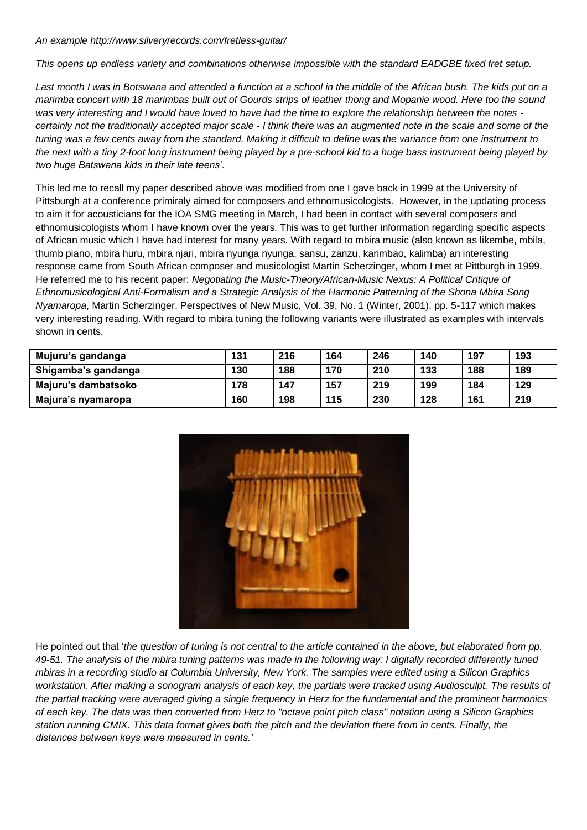*An example http://www.silveryrecords.com/fretless-guitar/* 

*This opens up endless variety and combinations otherwise impossible with the standard EADGBE fixed fret setup.* 

*Last month I was in Botswana and attended a function at a school in the middle of the African bush. The kids put on a marimba concert with 18 marimbas built out of Gourds strips of leather thong and Mopanie wood. Here too the sound was very interesting and I would have loved to have had the time to explore the relationship between the notes certainly not the traditionally accepted major scale - I think there was an augmented note in the scale and some of the tuning was a few cents away from the standard. Making it difficult to define was the variance from one instrument to the next with a tiny 2-foot long instrument being played by a pre-school kid to a huge bass instrument being played by two huge Batswana kids in their late teens'.*

This led me to recall my paper described above was modified from one I gave back in 1999 at the University of Pittsburgh at a conference primiraly aimed for composers and ethnomusicologists. However, in the updating process to aim it for acousticians for the IOA SMG meeting in March, I had been in contact with several composers and ethnomusicologists whom I have known over the years. This was to get further information regarding specific aspects of African music which I have had interest for many years. With regard to mbira music (also known as likembe, mbila, thumb piano, mbira huru, mbira njari, mbira nyunga nyunga, sansu, zanzu, karimbao, kalimba) an interesting response came from South African composer and musicologist Martin Scherzinger, whom I met at Pittburgh in 1999. He referred me to his recent paper: *Negotiating the Music-Theory/African-Music Nexus: A Political Critique of Ethnomusicological Anti-Formalism and a Strategic Analysis of the Harmonic Patterning of the Shona Mbira Song Nyamaropa*, Martin Scherzinger, Perspectives of New Music, Vol. 39, No. 1 (Winter, 2001), pp. 5-117 which makes very interesting reading. With regard to mbira tuning the following variants were illustrated as examples with intervals shown in cents.

| Mujuru's gandanga   | 131 | 216 | 164 | 246 | 140 | 197 | 193 |
|---------------------|-----|-----|-----|-----|-----|-----|-----|
| Shigamba's gandanga | 130 | 188 | 170 | 210 | 133 | 188 | 189 |
| Majuru's dambatsoko | 178 | 147 | 157 | 219 | 199 | 184 | 129 |
| Majura's nyamaropa  | 160 | 198 | 115 | 230 | 128 | 161 | 219 |



He pointed out that '*the question of tuning is not central to the article contained in the above, but elaborated from pp. 49-51. The analysis of the mbira tuning patterns was made in the following way: I digitally recorded differently tuned mbiras in a recording studio at Columbia University, New York. The samples were edited using a Silicon Graphics workstation. After making a sonogram analysis of each key, the partials were tracked using Audiosculpt. The results of the partial tracking were averaged giving a single frequency in Herz for the fundamental and the prominent harmonics of each key. The data was then converted from Herz to "octave point pitch class" notation using a Silicon Graphics station running CMIX. This data format gives both the pitch and the deviation there from in cents. Finally, the distances between keys were measured in cents.'*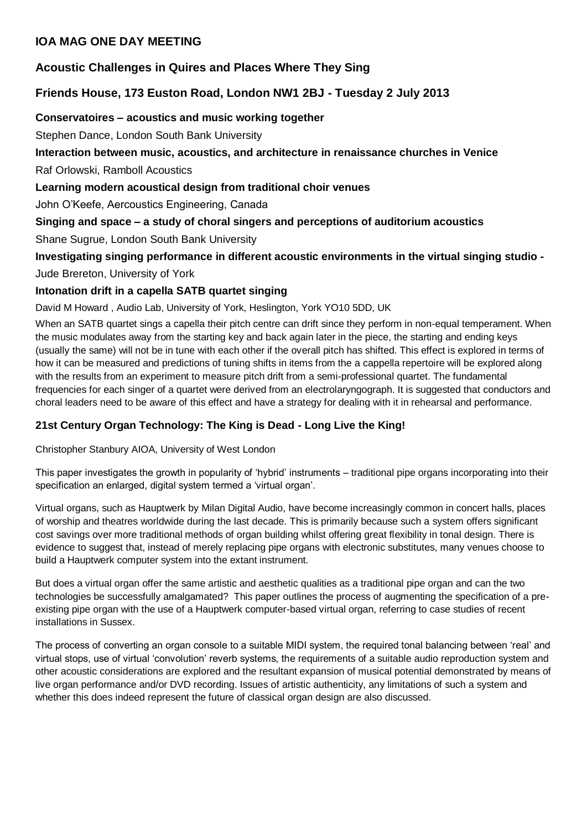### **IOA MAG ONE DAY MEETING**

# **Acoustic Challenges in Quires and Places Where They Sing**

# **Friends House, 173 Euston Road, London NW1 2BJ - Tuesday 2 July 2013**

## **Conservatoires – acoustics and music working together**

Stephen Dance, London South Bank University

# **Interaction between music, acoustics, and architecture in renaissance churches in Venice**

Raf Orlowski, Ramboll Acoustics

# **Learning modern acoustical design from traditional choir venues**

John O'Keefe, Aercoustics Engineering, Canada

# **Singing and space – a study of choral singers and perceptions of auditorium acoustics**

Shane Sugrue, London South Bank University

# **Investigating singing performance in different acoustic environments in the virtual singing studio -**

Jude Brereton, University of York

# **Intonation drift in a capella SATB quartet singing**

David M Howard , Audio Lab, University of York, Heslington, York YO10 5DD, UK

When an SATB quartet sings a capella their pitch centre can drift since they perform in non-equal temperament. When the music modulates away from the starting key and back again later in the piece, the starting and ending keys (usually the same) will not be in tune with each other if the overall pitch has shifted. This effect is explored in terms of how it can be measured and predictions of tuning shifts in items from the a cappella repertoire will be explored along with the results from an experiment to measure pitch drift from a semi-professional quartet. The fundamental frequencies for each singer of a quartet were derived from an electrolaryngograph. It is suggested that conductors and choral leaders need to be aware of this effect and have a strategy for dealing with it in rehearsal and performance.

# **21st Century Organ Technology: The King is Dead - Long Live the King!**

Christopher Stanbury AIOA, University of West London

This paper investigates the growth in popularity of 'hybrid' instruments – traditional pipe organs incorporating into their specification an enlarged, digital system termed a 'virtual organ'.

Virtual organs, such as Hauptwerk by Milan Digital Audio, have become increasingly common in concert halls, places of worship and theatres worldwide during the last decade. This is primarily because such a system offers significant cost savings over more traditional methods of organ building whilst offering great flexibility in tonal design. There is evidence to suggest that, instead of merely replacing pipe organs with electronic substitutes, many venues choose to build a Hauptwerk computer system into the extant instrument.

But does a virtual organ offer the same artistic and aesthetic qualities as a traditional pipe organ and can the two technologies be successfully amalgamated? This paper outlines the process of augmenting the specification of a preexisting pipe organ with the use of a Hauptwerk computer-based virtual organ, referring to case studies of recent installations in Sussex.

The process of converting an organ console to a suitable MIDI system, the required tonal balancing between 'real' and virtual stops, use of virtual 'convolution' reverb systems, the requirements of a suitable audio reproduction system and other acoustic considerations are explored and the resultant expansion of musical potential demonstrated by means of live organ performance and/or DVD recording. Issues of artistic authenticity, any limitations of such a system and whether this does indeed represent the future of classical organ design are also discussed.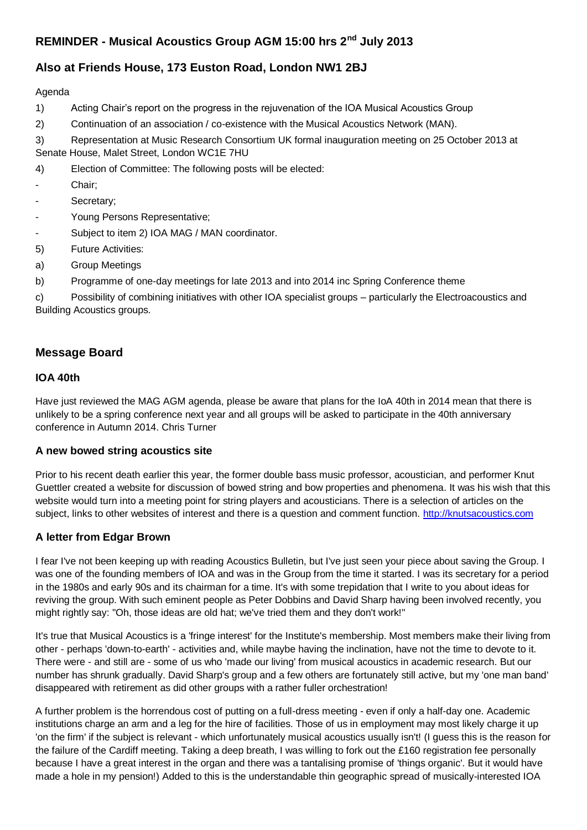## **REMINDER - Musical Acoustics Group AGM 15:00 hrs 2nd July 2013**

## **Also at Friends House, 173 Euston Road, London NW1 2BJ**

#### Agenda

- 1) Acting Chair's report on the progress in the rejuvenation of the IOA Musical Acoustics Group
- 2) Continuation of an association / co-existence with the Musical Acoustics Network (MAN).
- 3) Representation at Music Research Consortium UK formal inauguration meeting on 25 October 2013 at Senate House, Malet Street, London WC1E 7HU
- 4) Election of Committee: The following posts will be elected:
- Chair;
- Secretary;
- Young Persons Representative;
- Subject to item 2) IOA MAG / MAN coordinator.
- 5) Future Activities:
- a) Group Meetings
- b) Programme of one-day meetings for late 2013 and into 2014 inc Spring Conference theme

c) Possibility of combining initiatives with other IOA specialist groups – particularly the Electroacoustics and Building Acoustics groups.

### **Message Board**

#### **IOA 40th**

Have just reviewed the MAG AGM agenda, please be aware that plans for the IoA 40th in 2014 mean that there is unlikely to be a spring conference next year and all groups will be asked to participate in the 40th anniversary conference in Autumn 2014. Chris Turner

#### **A new bowed string acoustics site**

Prior to his recent death earlier this year, the former double bass music professor, acoustician, and performer Knut Guettler created a website for discussion of bowed string and bow properties and phenomena. It was his wish that this website would turn into a meeting point for string players and acousticians. There is a selection of articles on the subject, links to other websites of interest and there is a question and comment function. [http://knutsacoustics.com](http://knutsacoustics.com/)

#### **A letter from Edgar Brown**

I fear I've not been keeping up with reading Acoustics Bulletin, but I've just seen your piece about saving the Group. I was one of the founding members of IOA and was in the Group from the time it started. I was its secretary for a period in the 1980s and early 90s and its chairman for a time. It's with some trepidation that I write to you about ideas for reviving the group. With such eminent people as Peter Dobbins and David Sharp having been involved recently, you might rightly say: "Oh, those ideas are old hat; we've tried them and they don't work!"

It's true that Musical Acoustics is a 'fringe interest' for the Institute's membership. Most members make their living from other - perhaps 'down-to-earth' - activities and, while maybe having the inclination, have not the time to devote to it. There were - and still are - some of us who 'made our living' from musical acoustics in academic research. But our number has shrunk gradually. David Sharp's group and a few others are fortunately still active, but my 'one man band' disappeared with retirement as did other groups with a rather fuller orchestration!

A further problem is the horrendous cost of putting on a full-dress meeting - even if only a half-day one. Academic institutions charge an arm and a leg for the hire of facilities. Those of us in employment may most likely charge it up 'on the firm' if the subject is relevant - which unfortunately musical acoustics usually isn't! (I guess this is the reason for the failure of the Cardiff meeting. Taking a deep breath, I was willing to fork out the £160 registration fee personally because I have a great interest in the organ and there was a tantalising promise of 'things organic'. But it would have made a hole in my pension!) Added to this is the understandable thin geographic spread of musically-interested IOA